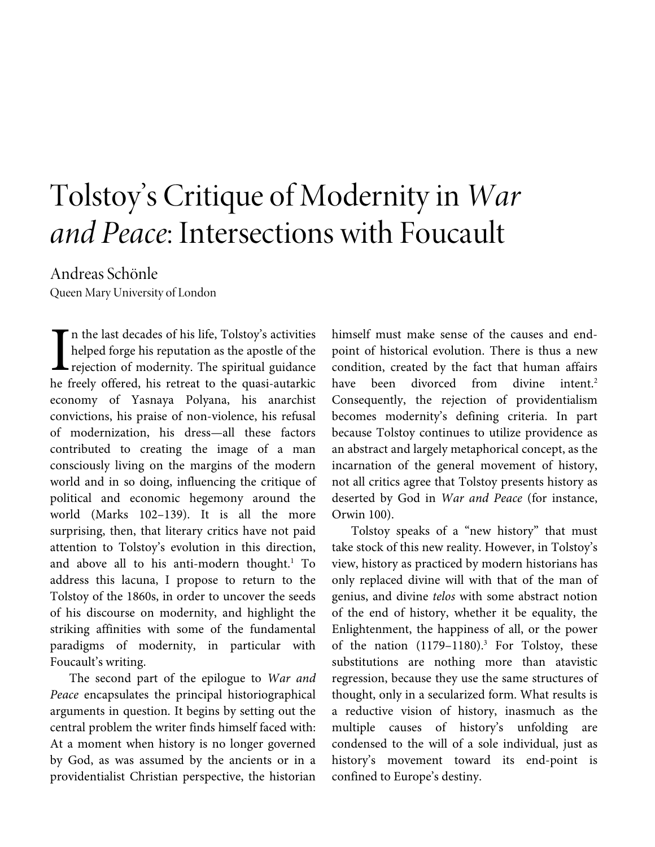## Tolstoy's Critique of Modernity in *War and Peace*: Intersections with Foucault

Andreas Schönle Queen Mary University of London

n the last decades of his life, Tolstoy's activities helped forge his reputation as the apostle of the rejection of modernity. The spiritual guidance he freely offered, his retreat to the quasi-autarkic economy of Yasnaya Polyana, his anarchist convictions, his praise of non-violence, his refusal of modernization, his dress—all these factors contributed to creating the image of a man consciously living on the margins of the modern world and in so doing, influencing the critique of political and economic hegemony around the world (Marks 102–139). It is all the more surprising, then, that literary critics have not paid attention to Tolstoy's evolution in this direction, and above all to his anti-modern thought.<sup>1</sup> To address this lacuna, I propose to return to the Tolstoy of the 1860s, in order to uncover the seeds of his discourse on modernity, and highlight the striking affinities with some of the fundamental paradigms of modernity, in particular with Foucault's writing.  $\prod_{\text{hef}}$ 

The second part of the epilogue to *War and Peace* encapsulates the principal historiographical arguments in question. It begins by setting out the central problem the writer finds himself faced with: At a moment when history is no longer governed by God, as was assumed by the ancients or in a providentialist Christian perspective, the historian

himself must make sense of the causes and endpoint of historical evolution. There is thus a new condition, created by the fact that human affairs have been divorced from divine intent.<sup>2</sup> Consequently, the rejection of providentialism becomes modernity's defining criteria. In part because Tolstoy continues to utilize providence as an abstract and largely metaphorical concept, as the incarnation of the general movement of history, not all critics agree that Tolstoy presents history as deserted by God in *War and Peace* (for instance, Orwin 100).

Tolstoy speaks of a "new history" that must take stock of this new reality. However, in Tolstoy's view, history as practiced by modern historians has only replaced divine will with that of the man of genius, and divine *telos* with some abstract notion of the end of history, whether it be equality, the Enlightenment, the happiness of all, or the power of the nation  $(1179-1180).$ <sup>3</sup> For Tolstoy, these substitutions are nothing more than atavistic regression, because they use the same structures of thought, only in a secularized form. What results is a reductive vision of history, inasmuch as the multiple causes of history's unfolding are condensed to the will of a sole individual, just as history's movement toward its end-point is confined to Europe's destiny.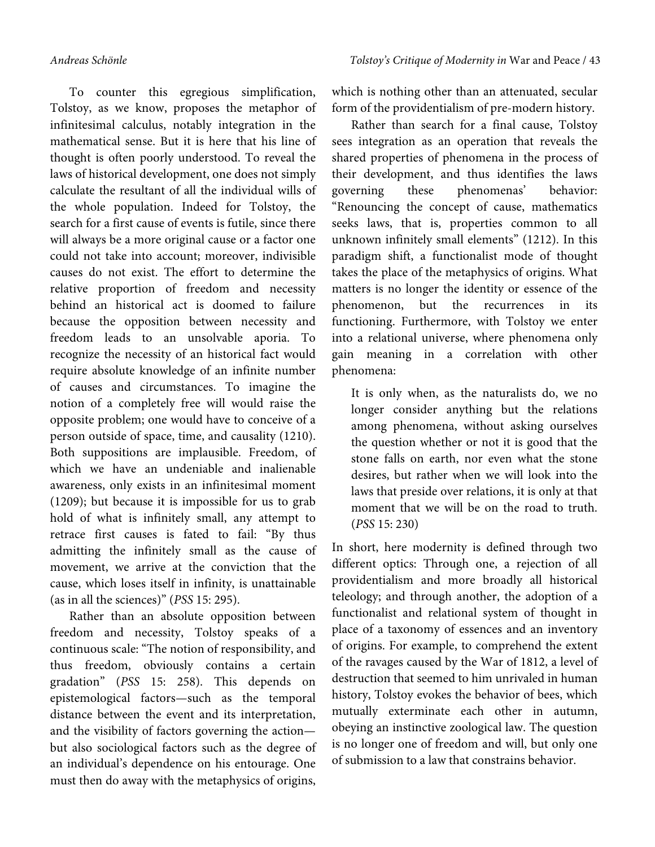To counter this egregious simplification, Tolstoy, as we know, proposes the metaphor of infinitesimal calculus, notably integration in the mathematical sense. But it is here that his line of thought is often poorly understood. To reveal the laws of historical development, one does not simply calculate the resultant of all the individual wills of the whole population. Indeed for Tolstoy, the search for a first cause of events is futile, since there will always be a more original cause or a factor one could not take into account; moreover, indivisible causes do not exist. The effort to determine the relative proportion of freedom and necessity behind an historical act is doomed to failure because the opposition between necessity and freedom leads to an unsolvable aporia. To recognize the necessity of an historical fact would require absolute knowledge of an infinite number of causes and circumstances. To imagine the notion of a completely free will would raise the opposite problem; one would have to conceive of a person outside of space, time, and causality (1210). Both suppositions are implausible. Freedom, of which we have an undeniable and inalienable awareness, only exists in an infinitesimal moment (1209); but because it is impossible for us to grab hold of what is infinitely small, any attempt to retrace first causes is fated to fail: "By thus admitting the infinitely small as the cause of movement, we arrive at the conviction that the cause, which loses itself in infinity, is unattainable (as in all the sciences)" (*PSS* 15: 295).

Rather than an absolute opposition between freedom and necessity, Tolstoy speaks of a continuous scale: "The notion of responsibility, and thus freedom, obviously contains a certain gradation" (*PSS* 15: 258). This depends on epistemological factors—such as the temporal distance between the event and its interpretation, and the visibility of factors governing the action but also sociological factors such as the degree of an individual's dependence on his entourage. One must then do away with the metaphysics of origins,

which is nothing other than an attenuated, secular form of the providentialism of pre-modern history.

Rather than search for a final cause, Tolstoy sees integration as an operation that reveals the shared properties of phenomena in the process of their development, and thus identifies the laws governing these phenomenas' behavior: "Renouncing the concept of cause, mathematics seeks laws, that is, properties common to all unknown infinitely small elements" (1212). In this paradigm shift, a functionalist mode of thought takes the place of the metaphysics of origins. What matters is no longer the identity or essence of the phenomenon, but the recurrences in its functioning. Furthermore, with Tolstoy we enter into a relational universe, where phenomena only gain meaning in a correlation with other phenomena:

It is only when, as the naturalists do, we no longer consider anything but the relations among phenomena, without asking ourselves the question whether or not it is good that the stone falls on earth, nor even what the stone desires, but rather when we will look into the laws that preside over relations, it is only at that moment that we will be on the road to truth. (*PSS* 15: 230)

In short, here modernity is defined through two different optics: Through one, a rejection of all providentialism and more broadly all historical teleology; and through another, the adoption of a functionalist and relational system of thought in place of a taxonomy of essences and an inventory of origins. For example, to comprehend the extent of the ravages caused by the War of 1812, a level of destruction that seemed to him unrivaled in human history, Tolstoy evokes the behavior of bees, which mutually exterminate each other in autumn, obeying an instinctive zoological law. The question is no longer one of freedom and will, but only one of submission to a law that constrains behavior.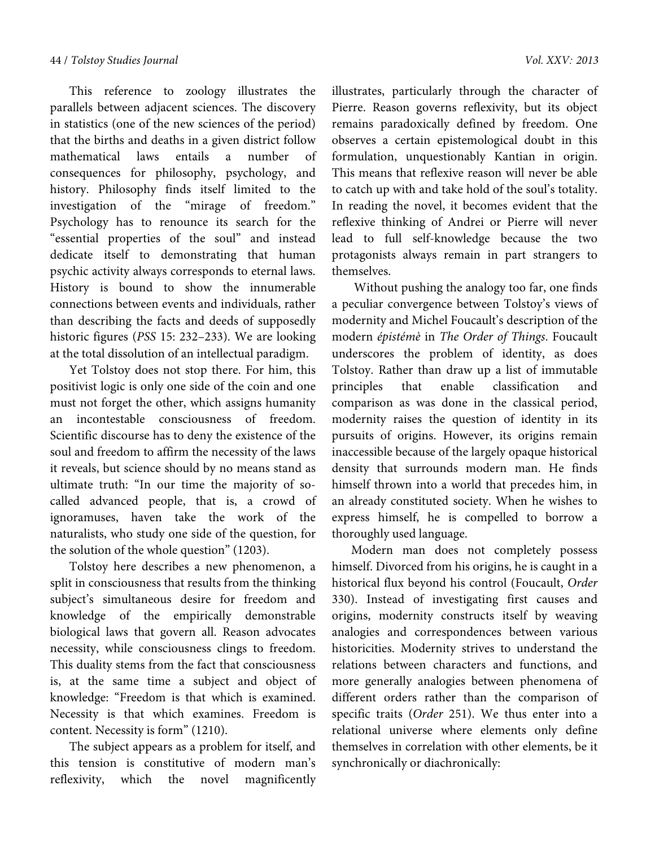This reference to zoology illustrates the parallels between adjacent sciences. The discovery in statistics (one of the new sciences of the period) that the births and deaths in a given district follow mathematical laws entails a number of consequences for philosophy, psychology, and history. Philosophy finds itself limited to the investigation of the "mirage of freedom." Psychology has to renounce its search for the "essential properties of the soul" and instead dedicate itself to demonstrating that human psychic activity always corresponds to eternal laws. History is bound to show the innumerable connections between events and individuals, rather than describing the facts and deeds of supposedly historic figures (*PSS* 15: 232–233). We are looking at the total dissolution of an intellectual paradigm.

Yet Tolstoy does not stop there. For him, this positivist logic is only one side of the coin and one must not forget the other, which assigns humanity an incontestable consciousness of freedom. Scientific discourse has to deny the existence of the soul and freedom to affirm the necessity of the laws it reveals, but science should by no means stand as ultimate truth: "In our time the majority of socalled advanced people, that is, a crowd of ignoramuses, haven take the work of the naturalists, who study one side of the question, for the solution of the whole question" (1203).

Tolstoy here describes a new phenomenon, a split in consciousness that results from the thinking subject's simultaneous desire for freedom and knowledge of the empirically demonstrable biological laws that govern all. Reason advocates necessity, while consciousness clings to freedom. This duality stems from the fact that consciousness is, at the same time a subject and object of knowledge: "Freedom is that which is examined. Necessity is that which examines. Freedom is content. Necessity is form" (1210).

The subject appears as a problem for itself, and this tension is constitutive of modern man's reflexivity, which the novel magnificently

illustrates, particularly through the character of Pierre. Reason governs reflexivity, but its object remains paradoxically defined by freedom. One observes a certain epistemological doubt in this formulation, unquestionably Kantian in origin. This means that reflexive reason will never be able to catch up with and take hold of the soul's totality. In reading the novel, it becomes evident that the reflexive thinking of Andrei or Pierre will never lead to full self-knowledge because the two protagonists always remain in part strangers to themselves.

 Without pushing the analogy too far, one finds a peculiar convergence between Tolstoy's views of modernity and Michel Foucault's description of the modern *épistémè* in *The Order of Things*. Foucault underscores the problem of identity, as does Tolstoy. Rather than draw up a list of immutable principles that enable classification and comparison as was done in the classical period, modernity raises the question of identity in its pursuits of origins. However, its origins remain inaccessible because of the largely opaque historical density that surrounds modern man. He finds himself thrown into a world that precedes him, in an already constituted society. When he wishes to express himself, he is compelled to borrow a thoroughly used language.

Modern man does not completely possess himself. Divorced from his origins, he is caught in a historical flux beyond his control (Foucault, *Order* 330). Instead of investigating first causes and origins, modernity constructs itself by weaving analogies and correspondences between various historicities. Modernity strives to understand the relations between characters and functions, and more generally analogies between phenomena of different orders rather than the comparison of specific traits (*Order* 251). We thus enter into a relational universe where elements only define themselves in correlation with other elements, be it synchronically or diachronically: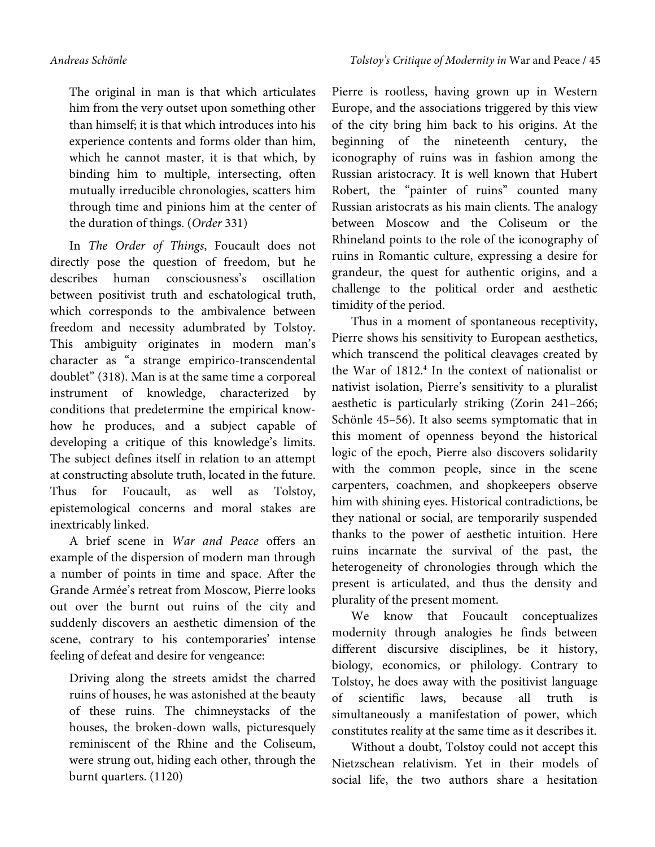The original in man is that which articulates him from the very outset upon something other than himself; it is that which introduces into his experience contents and forms older than him, which he cannot master, it is that which, by binding him to multiple, intersecting, often mutually irreducible chronologies, scatters him through time and pinions him at the center of the duration of things. (*Order* 331)

In *The Order of Things*, Foucault does not directly pose the question of freedom, but he describes human consciousness's oscillation between positivist truth and eschatological truth, which corresponds to the ambivalence between freedom and necessity adumbrated by Tolstoy. This ambiguity originates in modern man's character as "a strange empirico-transcendental doublet" (318). Man is at the same time a corporeal instrument of knowledge, characterized by conditions that predetermine the empirical knowhow he produces, and a subject capable of developing a critique of this knowledge's limits. The subject defines itself in relation to an attempt at constructing absolute truth, located in the future. Thus for Foucault, as well as Tolstoy, epistemological concerns and moral stakes are inextricably linked.

A brief scene in *War and Peace* offers an example of the dispersion of modern man through a number of points in time and space. After the Grande Armée's retreat from Moscow, Pierre looks out over the burnt out ruins of the city and suddenly discovers an aesthetic dimension of the scene, contrary to his contemporaries' intense feeling of defeat and desire for vengeance:

Driving along the streets amidst the charred ruins of houses, he was astonished at the beauty of these ruins. The chimneystacks of the houses, the broken-down walls, picturesquely reminiscent of the Rhine and the Coliseum, were strung out, hiding each other, through the burnt quarters. (1120)

Pierre is rootless, having grown up in Western Europe, and the associations triggered by this view of the city bring him back to his origins. At the beginning of the nineteenth century, the iconography of ruins was in fashion among the Russian aristocracy. It is well known that Hubert Robert, the "painter of ruins" counted many Russian aristocrats as his main clients. The analogy between Moscow and the Coliseum or the Rhineland points to the role of the iconography of ruins in Romantic culture, expressing a desire for grandeur, the quest for authentic origins, and a challenge to the political order and aesthetic timidity of the period.

Thus in a moment of spontaneous receptivity, Pierre shows his sensitivity to European aesthetics, which transcend the political cleavages created by the War of 1812.4 In the context of nationalist or nativist isolation, Pierre's sensitivity to a pluralist aesthetic is particularly striking (Zorin 241–266; Schönle 45–56). It also seems symptomatic that in this moment of openness beyond the historical logic of the epoch, Pierre also discovers solidarity with the common people, since in the scene carpenters, coachmen, and shopkeepers observe him with shining eyes. Historical contradictions, be they national or social, are temporarily suspended thanks to the power of aesthetic intuition. Here ruins incarnate the survival of the past, the heterogeneity of chronologies through which the present is articulated, and thus the density and plurality of the present moment.

We know that Foucault conceptualizes modernity through analogies he finds between different discursive disciplines, be it history, biology, economics, or philology. Contrary to Tolstoy, he does away with the positivist language of scientific laws, because all truth is simultaneously a manifestation of power, which constitutes reality at the same time as it describes it.

Without a doubt, Tolstoy could not accept this Nietzschean relativism. Yet in their models of social life, the two authors share a hesitation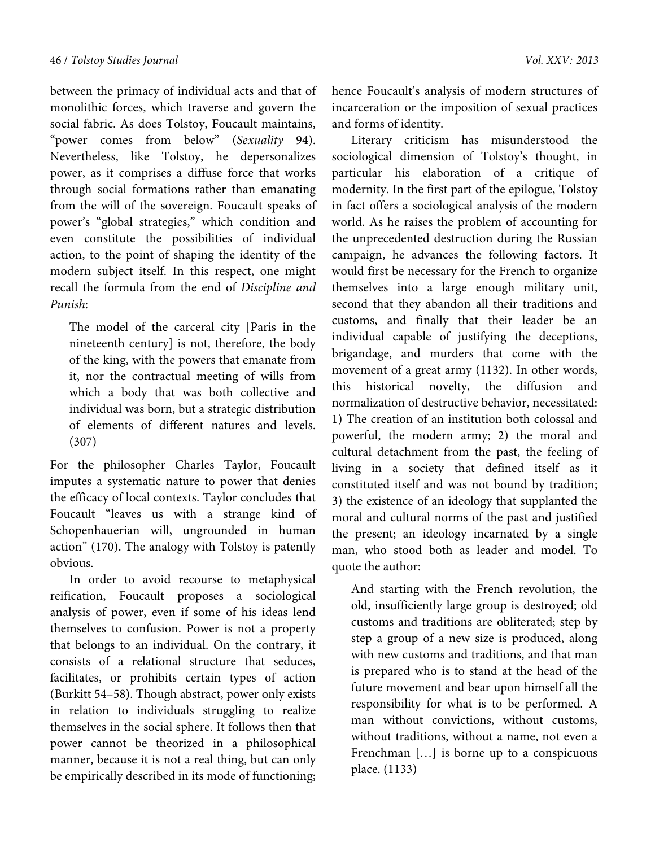between the primacy of individual acts and that of monolithic forces, which traverse and govern the social fabric. As does Tolstoy, Foucault maintains, "power comes from below" (*Sexuality* 94). Nevertheless, like Tolstoy, he depersonalizes power, as it comprises a diffuse force that works through social formations rather than emanating from the will of the sovereign. Foucault speaks of power's "global strategies," which condition and even constitute the possibilities of individual action, to the point of shaping the identity of the modern subject itself. In this respect, one might recall the formula from the end of *Discipline and Punish*:

The model of the carceral city [Paris in the nineteenth century] is not, therefore, the body of the king, with the powers that emanate from it, nor the contractual meeting of wills from which a body that was both collective and individual was born, but a strategic distribution of elements of different natures and levels. (307)

For the philosopher Charles Taylor, Foucault imputes a systematic nature to power that denies the efficacy of local contexts. Taylor concludes that Foucault "leaves us with a strange kind of Schopenhauerian will, ungrounded in human action" (170). The analogy with Tolstoy is patently obvious.

In order to avoid recourse to metaphysical reification, Foucault proposes a sociological analysis of power, even if some of his ideas lend themselves to confusion. Power is not a property that belongs to an individual. On the contrary, it consists of a relational structure that seduces, facilitates, or prohibits certain types of action (Burkitt 54–58). Though abstract, power only exists in relation to individuals struggling to realize themselves in the social sphere. It follows then that power cannot be theorized in a philosophical manner, because it is not a real thing, but can only be empirically described in its mode of functioning;

hence Foucault's analysis of modern structures of incarceration or the imposition of sexual practices and forms of identity.

Literary criticism has misunderstood the sociological dimension of Tolstoy's thought, in particular his elaboration of a critique of modernity. In the first part of the epilogue, Tolstoy in fact offers a sociological analysis of the modern world. As he raises the problem of accounting for the unprecedented destruction during the Russian campaign, he advances the following factors. It would first be necessary for the French to organize themselves into a large enough military unit, second that they abandon all their traditions and customs, and finally that their leader be an individual capable of justifying the deceptions, brigandage, and murders that come with the movement of a great army (1132). In other words, this historical novelty, the diffusion and normalization of destructive behavior, necessitated: 1) The creation of an institution both colossal and powerful, the modern army; 2) the moral and cultural detachment from the past, the feeling of living in a society that defined itself as it constituted itself and was not bound by tradition; 3) the existence of an ideology that supplanted the moral and cultural norms of the past and justified the present; an ideology incarnated by a single man, who stood both as leader and model. To quote the author:

And starting with the French revolution, the old, insufficiently large group is destroyed; old customs and traditions are obliterated; step by step a group of a new size is produced, along with new customs and traditions, and that man is prepared who is to stand at the head of the future movement and bear upon himself all the responsibility for what is to be performed. A man without convictions, without customs, without traditions, without a name, not even a Frenchman […] is borne up to a conspicuous place. (1133)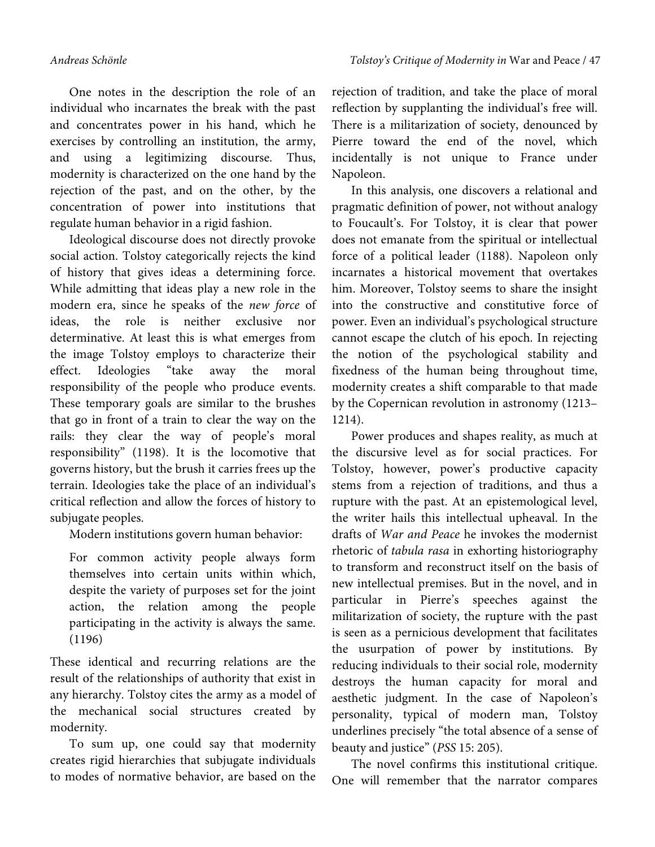One notes in the description the role of an individual who incarnates the break with the past and concentrates power in his hand, which he exercises by controlling an institution, the army, and using a legitimizing discourse. Thus, modernity is characterized on the one hand by the rejection of the past, and on the other, by the concentration of power into institutions that regulate human behavior in a rigid fashion.

Ideological discourse does not directly provoke social action. Tolstoy categorically rejects the kind of history that gives ideas a determining force. While admitting that ideas play a new role in the modern era, since he speaks of the *new force* of ideas, the role is neither exclusive nor determinative. At least this is what emerges from the image Tolstoy employs to characterize their effect. Ideologies "take away the moral responsibility of the people who produce events. These temporary goals are similar to the brushes that go in front of a train to clear the way on the rails: they clear the way of people's moral responsibility" (1198). It is the locomotive that governs history, but the brush it carries frees up the terrain. Ideologies take the place of an individual's critical reflection and allow the forces of history to subjugate peoples.

Modern institutions govern human behavior:

For common activity people always form themselves into certain units within which, despite the variety of purposes set for the joint action, the relation among the people participating in the activity is always the same. (1196)

These identical and recurring relations are the result of the relationships of authority that exist in any hierarchy. Tolstoy cites the army as a model of the mechanical social structures created by modernity.

To sum up, one could say that modernity creates rigid hierarchies that subjugate individuals to modes of normative behavior, are based on the

rejection of tradition, and take the place of moral reflection by supplanting the individual's free will. There is a militarization of society, denounced by Pierre toward the end of the novel, which incidentally is not unique to France under Napoleon.

In this analysis, one discovers a relational and pragmatic definition of power, not without analogy to Foucault's. For Tolstoy, it is clear that power does not emanate from the spiritual or intellectual force of a political leader (1188). Napoleon only incarnates a historical movement that overtakes him. Moreover, Tolstoy seems to share the insight into the constructive and constitutive force of power. Even an individual's psychological structure cannot escape the clutch of his epoch. In rejecting the notion of the psychological stability and fixedness of the human being throughout time, modernity creates a shift comparable to that made by the Copernican revolution in astronomy (1213– 1214).

Power produces and shapes reality, as much at the discursive level as for social practices. For Tolstoy, however, power's productive capacity stems from a rejection of traditions, and thus a rupture with the past. At an epistemological level, the writer hails this intellectual upheaval. In the drafts of *War and Peace* he invokes the modernist rhetoric of *tabula rasa* in exhorting historiography to transform and reconstruct itself on the basis of new intellectual premises. But in the novel, and in particular in Pierre's speeches against the militarization of society, the rupture with the past is seen as a pernicious development that facilitates the usurpation of power by institutions. By reducing individuals to their social role, modernity destroys the human capacity for moral and aesthetic judgment. In the case of Napoleon's personality, typical of modern man, Tolstoy underlines precisely "the total absence of a sense of beauty and justice" (*PSS* 15: 205).

The novel confirms this institutional critique. One will remember that the narrator compares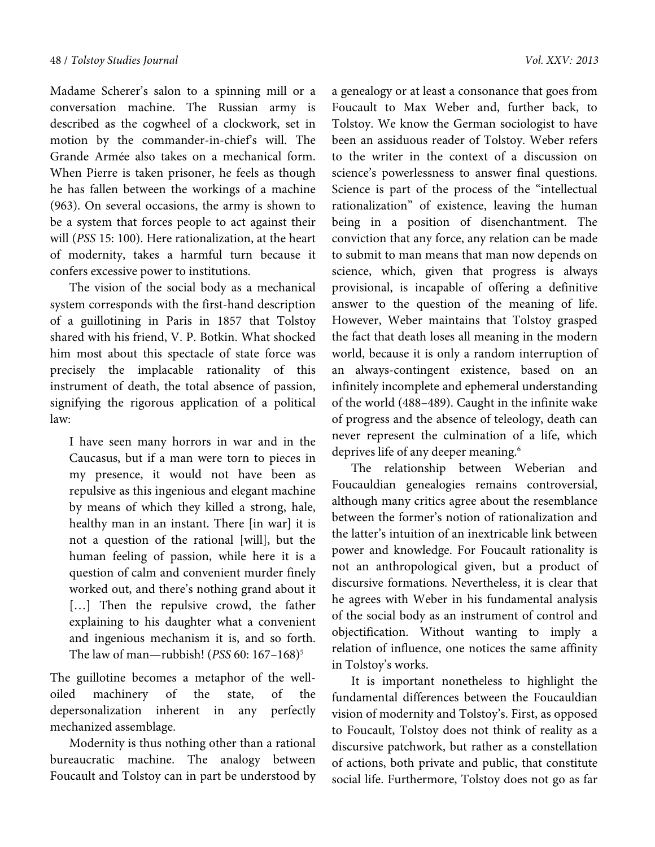Madame Scherer's salon to a spinning mill or a conversation machine. The Russian army is described as the cogwheel of a clockwork, set in motion by the commander-in-chief's will. The Grande Armée also takes on a mechanical form. When Pierre is taken prisoner, he feels as though he has fallen between the workings of a machine (963). On several occasions, the army is shown to be a system that forces people to act against their will (*PSS* 15: 100). Here rationalization, at the heart of modernity, takes a harmful turn because it confers excessive power to institutions.

The vision of the social body as a mechanical system corresponds with the first-hand description of a guillotining in Paris in 1857 that Tolstoy shared with his friend, V. P. Botkin. What shocked him most about this spectacle of state force was precisely the implacable rationality of this instrument of death, the total absence of passion, signifying the rigorous application of a political law:

I have seen many horrors in war and in the Caucasus, but if a man were torn to pieces in my presence, it would not have been as repulsive as this ingenious and elegant machine by means of which they killed a strong, hale, healthy man in an instant. There [in war] it is not a question of the rational [will], but the human feeling of passion, while here it is a question of calm and convenient murder finely worked out, and there's nothing grand about it [...] Then the repulsive crowd, the father explaining to his daughter what a convenient and ingenious mechanism it is, and so forth. The law of man—rubbish! (*PSS* 60: 167–168)5

The guillotine becomes a metaphor of the welloiled machinery of the state, of the depersonalization inherent in any perfectly mechanized assemblage.

Modernity is thus nothing other than a rational bureaucratic machine. The analogy between Foucault and Tolstoy can in part be understood by a genealogy or at least a consonance that goes from Foucault to Max Weber and, further back, to Tolstoy. We know the German sociologist to have been an assiduous reader of Tolstoy. Weber refers to the writer in the context of a discussion on science's powerlessness to answer final questions. Science is part of the process of the "intellectual rationalization" of existence, leaving the human being in a position of disenchantment. The conviction that any force, any relation can be made to submit to man means that man now depends on science, which, given that progress is always provisional, is incapable of offering a definitive answer to the question of the meaning of life. However, Weber maintains that Tolstoy grasped the fact that death loses all meaning in the modern world, because it is only a random interruption of an always-contingent existence, based on an infinitely incomplete and ephemeral understanding of the world (488–489). Caught in the infinite wake of progress and the absence of teleology, death can never represent the culmination of a life, which deprives life of any deeper meaning.<sup>6</sup>

The relationship between Weberian and Foucauldian genealogies remains controversial, although many critics agree about the resemblance between the former's notion of rationalization and the latter's intuition of an inextricable link between power and knowledge. For Foucault rationality is not an anthropological given, but a product of discursive formations. Nevertheless, it is clear that he agrees with Weber in his fundamental analysis of the social body as an instrument of control and objectification. Without wanting to imply a relation of influence, one notices the same affinity in Tolstoy's works.

It is important nonetheless to highlight the fundamental differences between the Foucauldian vision of modernity and Tolstoy's. First, as opposed to Foucault, Tolstoy does not think of reality as a discursive patchwork, but rather as a constellation of actions, both private and public, that constitute social life. Furthermore, Tolstoy does not go as far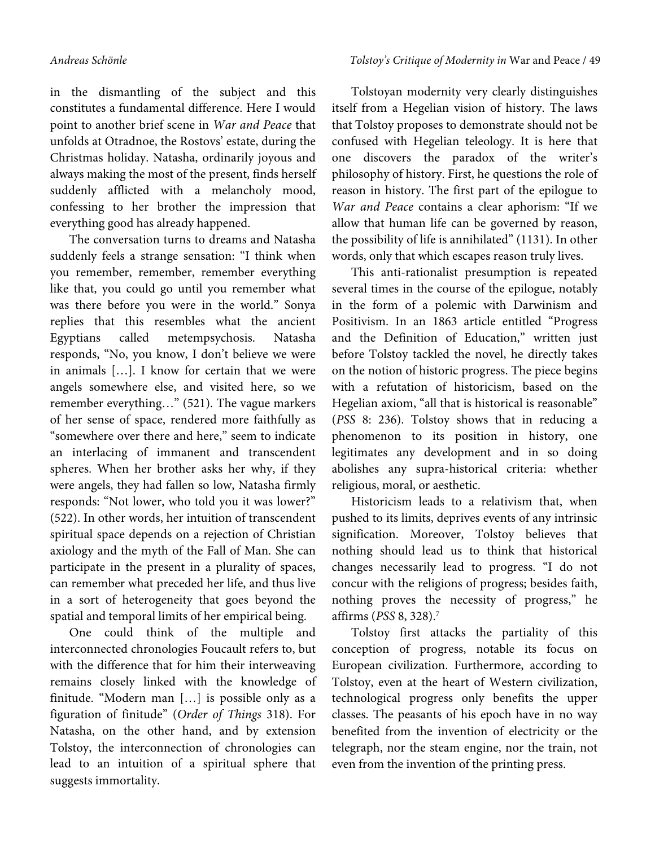in the dismantling of the subject and this constitutes a fundamental difference. Here I would point to another brief scene in *War and Peace* that unfolds at Otradnoe, the Rostovs' estate, during the Christmas holiday. Natasha, ordinarily joyous and always making the most of the present, finds herself suddenly afflicted with a melancholy mood, confessing to her brother the impression that everything good has already happened.

The conversation turns to dreams and Natasha suddenly feels a strange sensation: "I think when you remember, remember, remember everything like that, you could go until you remember what was there before you were in the world." Sonya replies that this resembles what the ancient Egyptians called metempsychosis. Natasha responds, "No, you know, I don't believe we were in animals […]. I know for certain that we were angels somewhere else, and visited here, so we remember everything…" (521). The vague markers of her sense of space, rendered more faithfully as "somewhere over there and here," seem to indicate an interlacing of immanent and transcendent spheres. When her brother asks her why, if they were angels, they had fallen so low, Natasha firmly responds: "Not lower, who told you it was lower?" (522). In other words, her intuition of transcendent spiritual space depends on a rejection of Christian axiology and the myth of the Fall of Man. She can participate in the present in a plurality of spaces, can remember what preceded her life, and thus live in a sort of heterogeneity that goes beyond the spatial and temporal limits of her empirical being.

One could think of the multiple and interconnected chronologies Foucault refers to, but with the difference that for him their interweaving remains closely linked with the knowledge of finitude. "Modern man […] is possible only as a figuration of finitude" (*Order of Things* 318). For Natasha, on the other hand, and by extension Tolstoy, the interconnection of chronologies can lead to an intuition of a spiritual sphere that suggests immortality.

Tolstoyan modernity very clearly distinguishes itself from a Hegelian vision of history. The laws that Tolstoy proposes to demonstrate should not be confused with Hegelian teleology. It is here that one discovers the paradox of the writer's philosophy of history. First, he questions the role of reason in history. The first part of the epilogue to *War and Peace* contains a clear aphorism: "If we allow that human life can be governed by reason, the possibility of life is annihilated" (1131). In other words, only that which escapes reason truly lives.

This anti-rationalist presumption is repeated several times in the course of the epilogue, notably in the form of a polemic with Darwinism and Positivism. In an 1863 article entitled "Progress and the Definition of Education," written just before Tolstoy tackled the novel, he directly takes on the notion of historic progress. The piece begins with a refutation of historicism, based on the Hegelian axiom, "all that is historical is reasonable" (*PSS* 8: 236). Tolstoy shows that in reducing a phenomenon to its position in history, one legitimates any development and in so doing abolishes any supra-historical criteria: whether religious, moral, or aesthetic.

Historicism leads to a relativism that, when pushed to its limits, deprives events of any intrinsic signification. Moreover, Tolstoy believes that nothing should lead us to think that historical changes necessarily lead to progress. "I do not concur with the religions of progress; besides faith, nothing proves the necessity of progress," he affirms (*PSS* 8, 328).7

Tolstoy first attacks the partiality of this conception of progress, notable its focus on European civilization. Furthermore, according to Tolstoy, even at the heart of Western civilization, technological progress only benefits the upper classes. The peasants of his epoch have in no way benefited from the invention of electricity or the telegraph, nor the steam engine, nor the train, not even from the invention of the printing press.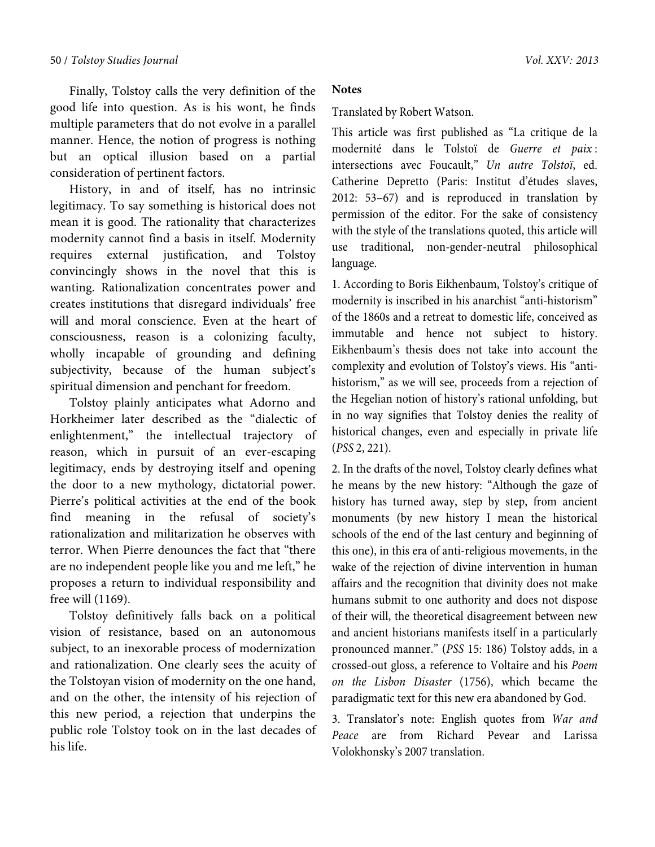Finally, Tolstoy calls the very definition of the good life into question. As is his wont, he finds multiple parameters that do not evolve in a parallel manner. Hence, the notion of progress is nothing but an optical illusion based on a partial consideration of pertinent factors.

History, in and of itself, has no intrinsic legitimacy. To say something is historical does not mean it is good. The rationality that characterizes modernity cannot find a basis in itself. Modernity requires external justification, and Tolstoy convincingly shows in the novel that this is wanting. Rationalization concentrates power and creates institutions that disregard individuals' free will and moral conscience. Even at the heart of consciousness, reason is a colonizing faculty, wholly incapable of grounding and defining subjectivity, because of the human subject's spiritual dimension and penchant for freedom.

Tolstoy plainly anticipates what Adorno and Horkheimer later described as the "dialectic of enlightenment," the intellectual trajectory of reason, which in pursuit of an ever-escaping legitimacy, ends by destroying itself and opening the door to a new mythology, dictatorial power. Pierre's political activities at the end of the book find meaning in the refusal of society's rationalization and militarization he observes with terror. When Pierre denounces the fact that "there are no independent people like you and me left," he proposes a return to individual responsibility and free will (1169).

Tolstoy definitively falls back on a political vision of resistance, based on an autonomous subject, to an inexorable process of modernization and rationalization. One clearly sees the acuity of the Tolstoyan vision of modernity on the one hand, and on the other, the intensity of his rejection of this new period, a rejection that underpins the public role Tolstoy took on in the last decades of his life.

## **Notes**

Translated by Robert Watson.

This article was first published as "La critique de la modernité dans le Tolstoï de *Guerre et paix* : intersections avec Foucault," *Un autre Tolstoï*, ed. Catherine Depretto (Paris: Institut d'études slaves, 2012: 53–67) and is reproduced in translation by permission of the editor. For the sake of consistency with the style of the translations quoted, this article will use traditional, non-gender-neutral philosophical language.

1. According to Boris Eikhenbaum, Tolstoy's critique of modernity is inscribed in his anarchist "anti-historism" of the 1860s and a retreat to domestic life, conceived as immutable and hence not subject to history. Eikhenbaum's thesis does not take into account the complexity and evolution of Tolstoy's views. His "antihistorism," as we will see, proceeds from a rejection of the Hegelian notion of history's rational unfolding, but in no way signifies that Tolstoy denies the reality of historical changes, even and especially in private life (*PSS* 2, 221).

2. In the drafts of the novel, Tolstoy clearly defines what he means by the new history: "Although the gaze of history has turned away, step by step, from ancient monuments (by new history I mean the historical schools of the end of the last century and beginning of this one), in this era of anti-religious movements, in the wake of the rejection of divine intervention in human affairs and the recognition that divinity does not make humans submit to one authority and does not dispose of their will, the theoretical disagreement between new and ancient historians manifests itself in a particularly pronounced manner." (*PSS* 15: 186) Tolstoy adds, in a crossed-out gloss, a reference to Voltaire and his *Poem on the Lisbon Disaster* (1756), which became the paradigmatic text for this new era abandoned by God.

3. Translator's note: English quotes from *War and Peace* are from Richard Pevear and Larissa Volokhonsky's 2007 translation.